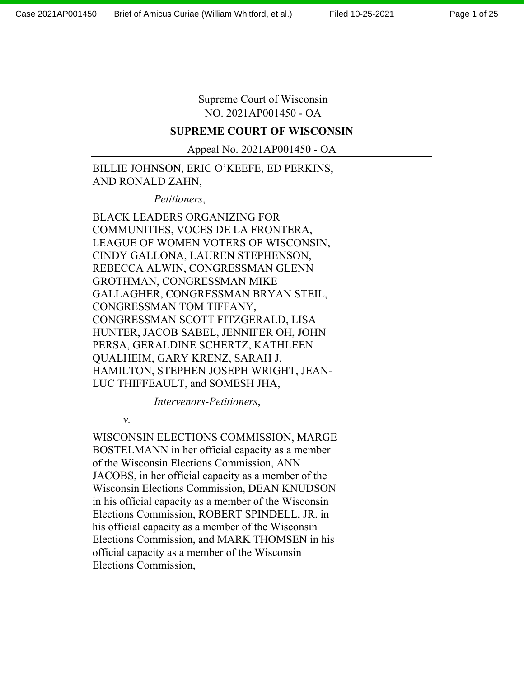Page 1 of 25

Supreme Court of Wisconsin NO. 2021AP001450 - OA

#### **SUPREME COURT OF WISCONSIN**

Appeal No. 2021AP001450 - OA

## BILLIE JOHNSON, ERIC O'KEEFE, ED PERKINS, AND RONALD ZAHN,

*Petitioners*,

BLACK LEADERS ORGANIZING FOR COMMUNITIES, VOCES DE LA FRONTERA, LEAGUE OF WOMEN VOTERS OF WISCONSIN, CINDY GALLONA, LAUREN STEPHENSON, REBECCA ALWIN, CONGRESSMAN GLENN GROTHMAN, CONGRESSMAN MIKE GALLAGHER, CONGRESSMAN BRYAN STEIL, CONGRESSMAN TOM TIFFANY, CONGRESSMAN SCOTT FITZGERALD, LISA HUNTER, JACOB SABEL, JENNIFER OH, JOHN PERSA, GERALDINE SCHERTZ, KATHLEEN QUALHEIM, GARY KRENZ, SARAH J. HAMILTON, STEPHEN JOSEPH WRIGHT, JEAN-LUC THIFFEAULT, and SOMESH JHA,

*Intervenors-Petitioners*,

*v.*

WISCONSIN ELECTIONS COMMISSION, MARGE BOSTELMANN in her official capacity as a member of the Wisconsin Elections Commission, ANN JACOBS, in her official capacity as a member of the Wisconsin Elections Commission, DEAN KNUDSON in his official capacity as a member of the Wisconsin Elections Commission, ROBERT SPINDELL, JR. in his official capacity as a member of the Wisconsin Elections Commission, and MARK THOMSEN in his official capacity as a member of the Wisconsin Elections Commission,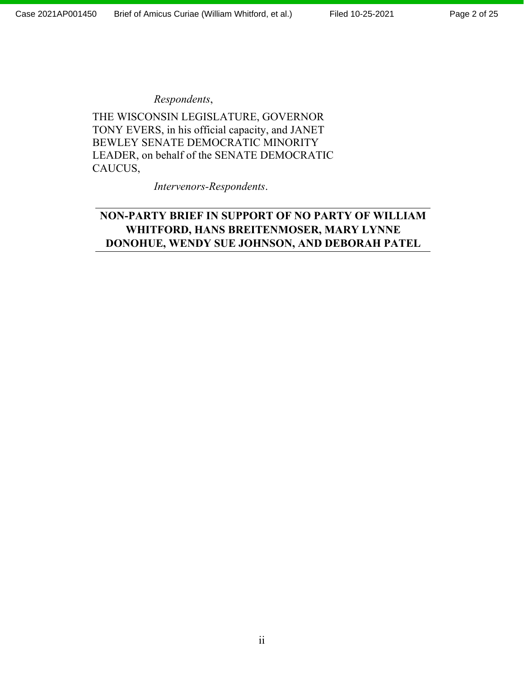### *Respondents*,

THE WISCONSIN LEGISLATURE, GOVERNOR TONY EVERS, in his official capacity, and JANET BEWLEY SENATE DEMOCRATIC MINORITY LEADER, on behalf of the SENATE DEMOCRATIC CAUCUS,

*Intervenors-Respondents*.

## **NON-PARTY BRIEF IN SUPPORT OF NO PARTY OF WILLIAM WHITFORD, HANS BREITENMOSER, MARY LYNNE DONOHUE, WENDY SUE JOHNSON, AND DEBORAH PATEL**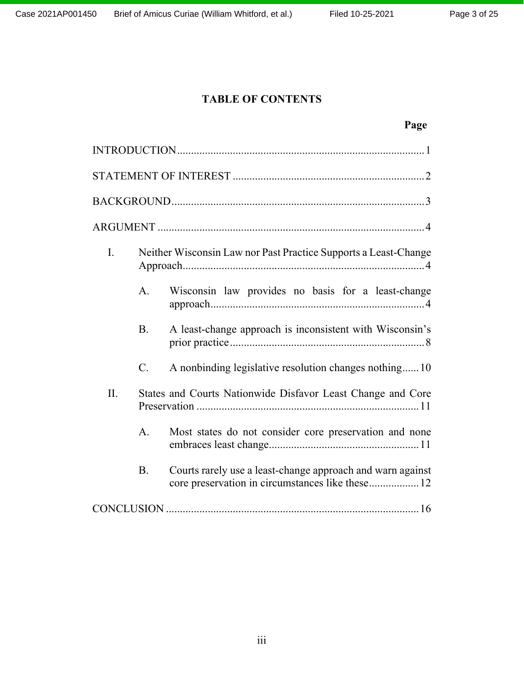## **TABLE OF CONTENTS**

# **Page**

| I.  |                | Neither Wisconsin Law nor Past Practice Supports a Least-Change |  |  |  |
|-----|----------------|-----------------------------------------------------------------|--|--|--|
|     | A.             | Wisconsin law provides no basis for a least-change              |  |  |  |
|     | <b>B.</b>      | A least-change approach is inconsistent with Wisconsin's        |  |  |  |
|     | $C$ .          | A nonbinding legislative resolution changes nothing10           |  |  |  |
| II. |                | States and Courts Nationwide Disfavor Least Change and Core     |  |  |  |
|     | A <sub>1</sub> | Most states do not consider core preservation and none          |  |  |  |
|     | <b>B.</b>      | Courts rarely use a least-change approach and warn against      |  |  |  |
|     |                |                                                                 |  |  |  |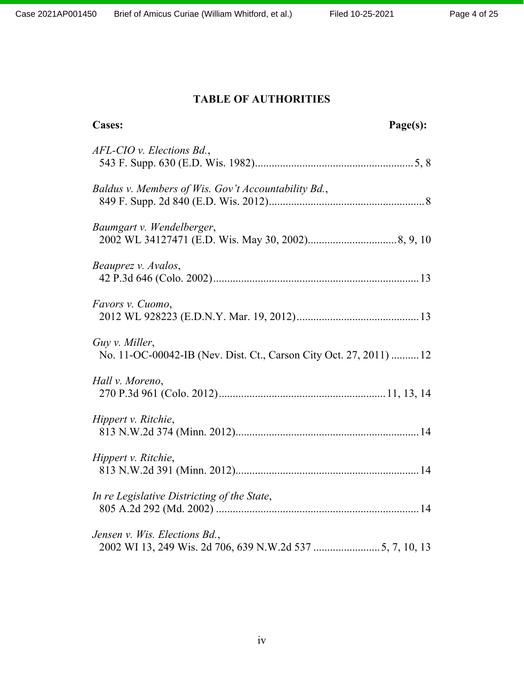# **TABLE OF AUTHORITIES**

| <b>Cases:</b>                                                                        | Page(s): |
|--------------------------------------------------------------------------------------|----------|
| $AFL-CIO$ v. Elections Bd.,                                                          |          |
| Baldus v. Members of Wis. Gov't Accountability Bd.,                                  |          |
| Baumgart v. Wendelberger,                                                            |          |
| Beauprez v. Avalos,                                                                  |          |
| Favors v. Cuomo,                                                                     |          |
| Guy v. Miller,<br>No. 11-OC-00042-IB (Nev. Dist. Ct., Carson City Oct. 27, 2011)  12 |          |
| Hall v. Moreno,                                                                      |          |
| Hippert v. Ritchie,                                                                  |          |
| Hippert v. Ritchie,                                                                  |          |
| In re Legislative Districting of the State,                                          |          |
| Jensen v. Wis. Elections Bd.,                                                        |          |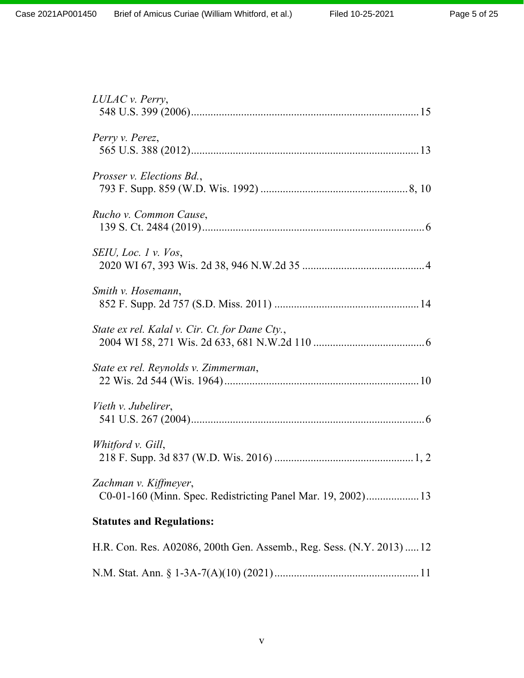| LULAC v. Perry,                                                                       |
|---------------------------------------------------------------------------------------|
| Perry v. Perez,                                                                       |
| Prosser v. Elections Bd.,                                                             |
| Rucho v. Common Cause,                                                                |
| SEIU, Loc. 1 v. Vos,                                                                  |
| Smith v. Hosemann,                                                                    |
| State ex rel. Kalal v. Cir. Ct. for Dane Cty.,                                        |
| State ex rel. Reynolds v. Zimmerman,                                                  |
| Vieth v. Jubelirer,                                                                   |
| Whitford v. Gill,                                                                     |
| Zachman v. Kiffmeyer,<br>C0-01-160 (Minn. Spec. Redistricting Panel Mar. 19, 2002) 13 |
| <b>Statutes and Regulations:</b>                                                      |
| H.R. Con. Res. A02086, 200th Gen. Assemb., Reg. Sess. (N.Y. 2013)  12                 |
|                                                                                       |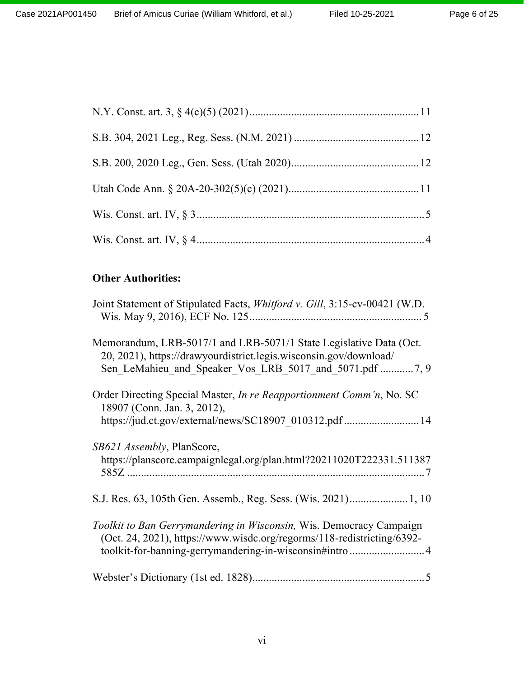## **Other Authorities:**

| Joint Statement of Stipulated Facts, Whitford v. Gill, 3:15-cv-00421 (W.D.                                                                                                                                |
|-----------------------------------------------------------------------------------------------------------------------------------------------------------------------------------------------------------|
| Memorandum, LRB-5017/1 and LRB-5071/1 State Legislative Data (Oct.<br>20, 2021), https://drawyourdistrict.legis.wisconsin.gov/download/<br>Sen LeMahieu and Speaker Vos LRB 5017 and 5071.pdf 7, 9        |
| Order Directing Special Master, In re Reapportionment Comm'n, No. SC<br>18907 (Conn. Jan. 3, 2012),<br>https://jud.ct.gov/external/news/SC18907 010312.pdf 14                                             |
| SB621 Assembly, PlanScore,<br>https://planscore.campaignlegal.org/plan.html?20211020T222331.511387                                                                                                        |
|                                                                                                                                                                                                           |
| Toolkit to Ban Gerrymandering in Wisconsin, Wis. Democracy Campaign<br>(Oct. 24, 2021), https://www.wisdc.org/regorms/118-redistricting/6392-<br>toolkit-for-banning-gerrymandering-in-wisconsin#intro  4 |
|                                                                                                                                                                                                           |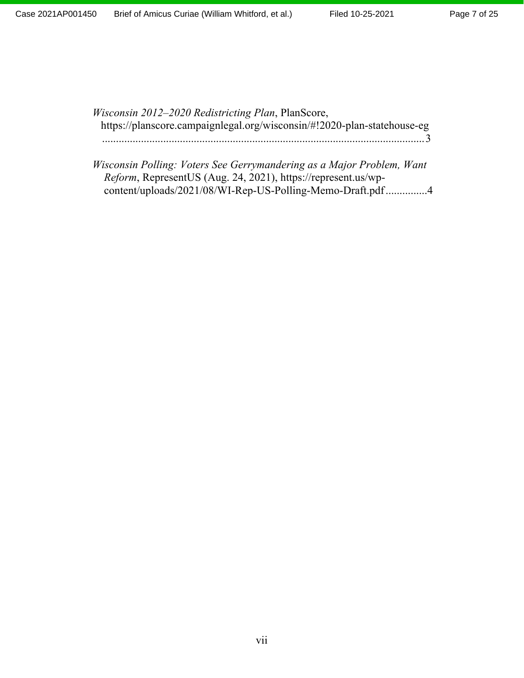*Wisconsin 2012–2020 Redistricting Plan*, PlanScore, https://planscore.campaignlegal.org/wisconsin/#!2020-plan-statehouse-eg ....................................................................................................................3

*Wisconsin Polling: Voters See Gerrymandering as a Major Problem, Want Reform*, RepresentUS (Aug. 24, 2021), https://represent.us/wpcontent/uploads/2021/08/WI-Rep-US-Polling-Memo-Draft.pdf...............4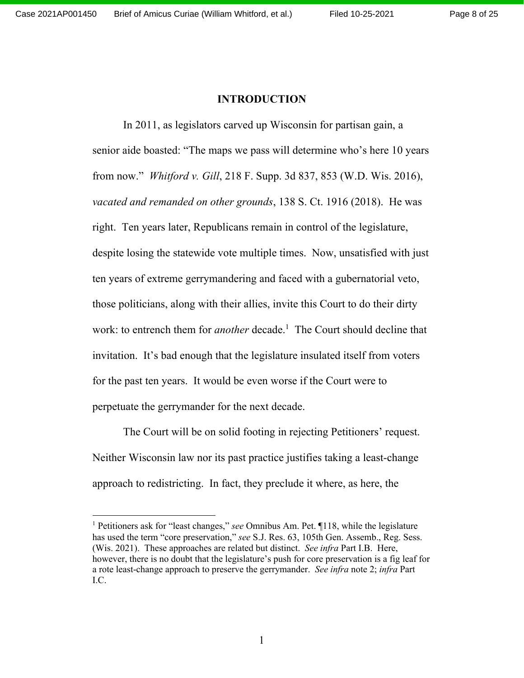#### **INTRODUCTION**

In 2011, as legislators carved up Wisconsin for partisan gain, a senior aide boasted: "The maps we pass will determine who's here 10 years from now." *Whitford v. Gill*, 218 F. Supp. 3d 837, 853 (W.D. Wis. 2016), *vacated and remanded on other grounds*, 138 S. Ct. 1916 (2018). He was right. Ten years later, Republicans remain in control of the legislature, despite losing the statewide vote multiple times. Now, unsatisfied with just ten years of extreme gerrymandering and faced with a gubernatorial veto, those politicians, along with their allies, invite this Court to do their dirty work: to entrench them for *another* decade. 1 The Court should decline that invitation. It's bad enough that the legislature insulated itself from voters for the past ten years. It would be even worse if the Court were to perpetuate the gerrymander for the next decade.

The Court will be on solid footing in rejecting Petitioners' request. Neither Wisconsin law nor its past practice justifies taking a least-change approach to redistricting. In fact, they preclude it where, as here, the

<sup>1</sup> Petitioners ask for "least changes," *see* Omnibus Am. Pet. ¶118, while the legislature has used the term "core preservation," *see* S.J. Res. 63, 105th Gen. Assemb., Reg. Sess. (Wis. 2021). These approaches are related but distinct. *See infra* Part I.B. Here, however, there is no doubt that the legislature's push for core preservation is a fig leaf for a rote least-change approach to preserve the gerrymander. *See infra* note 2; *infra* Part I.C.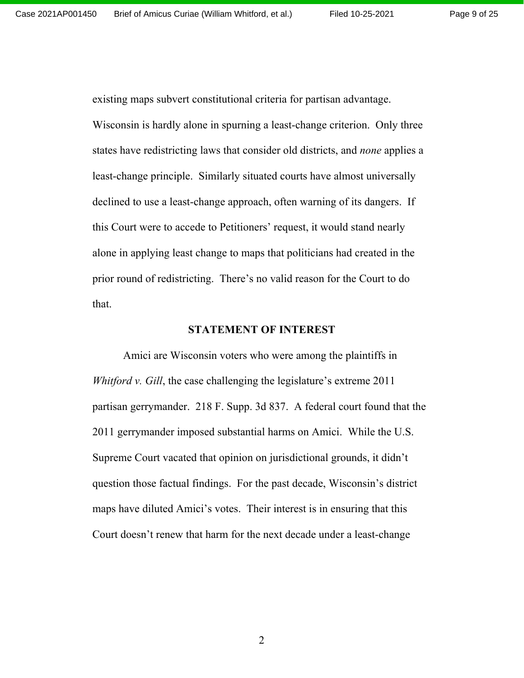Page 9 of 25

existing maps subvert constitutional criteria for partisan advantage. Wisconsin is hardly alone in spurning a least-change criterion. Only three states have redistricting laws that consider old districts, and *none* applies a least-change principle. Similarly situated courts have almost universally declined to use a least-change approach, often warning of its dangers. If this Court were to accede to Petitioners' request, it would stand nearly alone in applying least change to maps that politicians had created in the prior round of redistricting. There's no valid reason for the Court to do that.

#### **STATEMENT OF INTEREST**

Amici are Wisconsin voters who were among the plaintiffs in *Whitford v. Gill*, the case challenging the legislature's extreme 2011 partisan gerrymander. 218 F. Supp. 3d 837. A federal court found that the 2011 gerrymander imposed substantial harms on Amici. While the U.S. Supreme Court vacated that opinion on jurisdictional grounds, it didn't question those factual findings. For the past decade, Wisconsin's district maps have diluted Amici's votes. Their interest is in ensuring that this Court doesn't renew that harm for the next decade under a least-change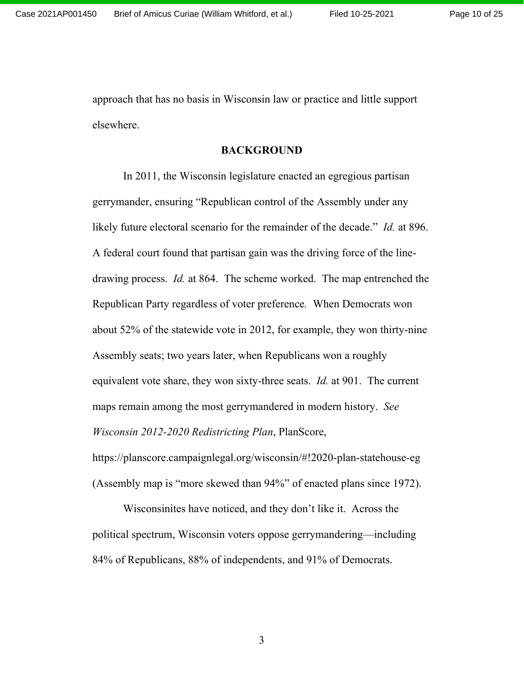approach that has no basis in Wisconsin law or practice and little support elsewhere.

#### **BACKGROUND**

In 2011, the Wisconsin legislature enacted an egregious partisan gerrymander, ensuring "Republican control of the Assembly under any likely future electoral scenario for the remainder of the decade." *Id.* at 896. A federal court found that partisan gain was the driving force of the linedrawing process. *Id.* at 864. The scheme worked. The map entrenched the Republican Party regardless of voter preference*.* When Democrats won about 52% of the statewide vote in 2012, for example, they won thirty-nine Assembly seats; two years later, when Republicans won a roughly equivalent vote share, they won sixty-three seats. *Id.* at 901. The current maps remain among the most gerrymandered in modern history. *See Wisconsin 2012-2020 Redistricting Plan*, PlanScore,

https://planscore.campaignlegal.org/wisconsin/#!2020-plan-statehouse-eg (Assembly map is "more skewed than 94%" of enacted plans since 1972).

Wisconsinites have noticed, and they don't like it. Across the political spectrum, Wisconsin voters oppose gerrymandering—including 84% of Republicans, 88% of independents, and 91% of Democrats.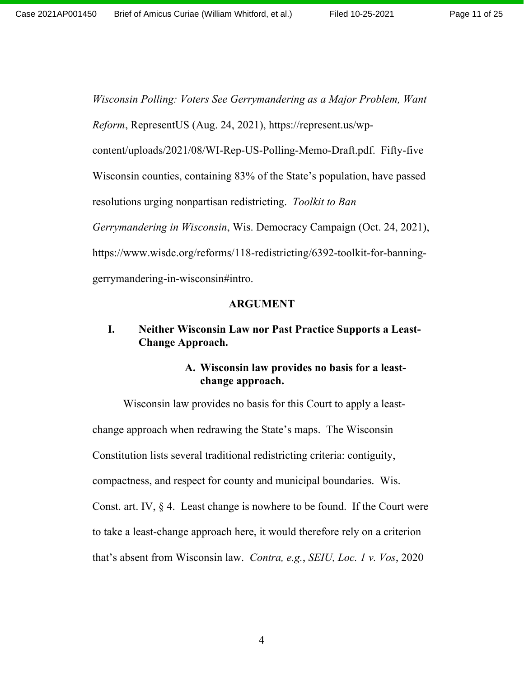*Wisconsin Polling: Voters See Gerrymandering as a Major Problem, Want Reform*, RepresentUS (Aug. 24, 2021), https://represent.us/wpcontent/uploads/2021/08/WI-Rep-US-Polling-Memo-Draft.pdf. Fifty-five Wisconsin counties, containing 83% of the State's population, have passed resolutions urging nonpartisan redistricting. *Toolkit to Ban Gerrymandering in Wisconsin*, Wis. Democracy Campaign (Oct. 24, 2021), https://www.wisdc.org/reforms/118-redistricting/6392-toolkit-for-banninggerrymandering-in-wisconsin#intro.

#### **ARGUMENT**

## **I. Neither Wisconsin Law nor Past Practice Supports a Least-Change Approach.**

### **A. Wisconsin law provides no basis for a leastchange approach.**

Wisconsin law provides no basis for this Court to apply a leastchange approach when redrawing the State's maps. The Wisconsin Constitution lists several traditional redistricting criteria: contiguity, compactness, and respect for county and municipal boundaries. Wis. Const. art. IV, § 4. Least change is nowhere to be found. If the Court were to take a least-change approach here, it would therefore rely on a criterion that's absent from Wisconsin law. *Contra, e.g.*, *SEIU, Loc. 1 v. Vos*, 2020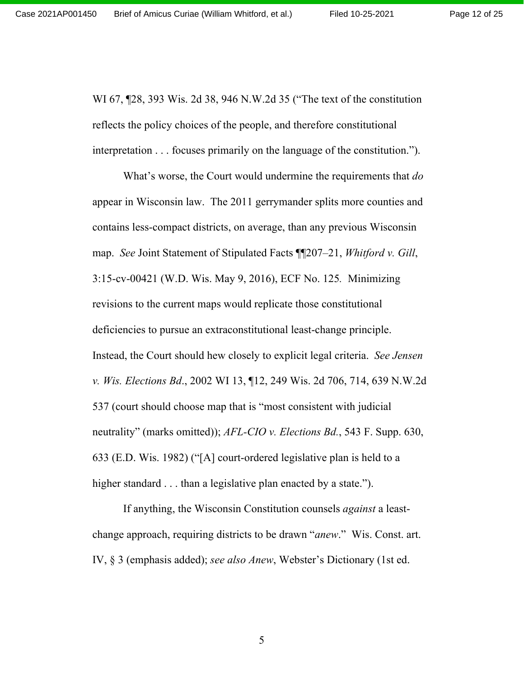Page 12 of 25

WI 67, ¶28, 393 Wis. 2d 38, 946 N.W.2d 35 ("The text of the constitution reflects the policy choices of the people, and therefore constitutional interpretation . . . focuses primarily on the language of the constitution.").

What's worse, the Court would undermine the requirements that *do*  appear in Wisconsin law. The 2011 gerrymander splits more counties and contains less-compact districts, on average, than any previous Wisconsin map. *See* Joint Statement of Stipulated Facts ¶¶207–21, *Whitford v. Gill*, 3:15-cv-00421 (W.D. Wis. May 9, 2016), ECF No. 125*.* Minimizing revisions to the current maps would replicate those constitutional deficiencies to pursue an extraconstitutional least-change principle. Instead, the Court should hew closely to explicit legal criteria. *See Jensen v. Wis. Elections Bd*., 2002 WI 13, ¶12, 249 Wis. 2d 706, 714, 639 N.W.2d 537 (court should choose map that is "most consistent with judicial neutrality" (marks omitted)); *AFL-CIO v. Elections Bd.*, 543 F. Supp. 630, 633 (E.D. Wis. 1982) ("[A] court-ordered legislative plan is held to a higher standard . . . than a legislative plan enacted by a state.").

If anything, the Wisconsin Constitution counsels *against* a leastchange approach, requiring districts to be drawn "*anew*." Wis. Const. art. IV, § 3 (emphasis added); *see also Anew*, Webster's Dictionary (1st ed.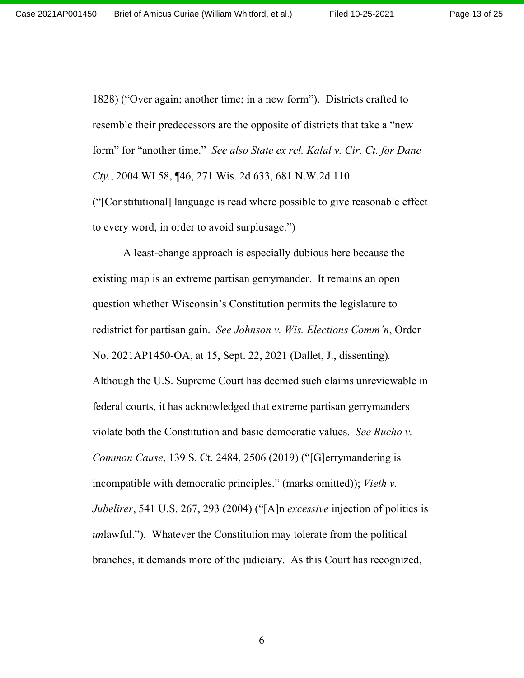Page 13 of 25

1828) ("Over again; another time; in a new form"). Districts crafted to resemble their predecessors are the opposite of districts that take a "new form" for "another time." *See also State ex rel. Kalal v. Cir. Ct. for Dane Cty.*, 2004 WI 58, ¶46, 271 Wis. 2d 633, 681 N.W.2d 110

("[Constitutional] language is read where possible to give reasonable effect to every word, in order to avoid surplusage.")

A least-change approach is especially dubious here because the existing map is an extreme partisan gerrymander. It remains an open question whether Wisconsin's Constitution permits the legislature to redistrict for partisan gain. *See Johnson v. Wis. Elections Comm'n*, Order No. 2021AP1450-OA, at 15, Sept. 22, 2021 (Dallet, J., dissenting)*.* Although the U.S. Supreme Court has deemed such claims unreviewable in federal courts, it has acknowledged that extreme partisan gerrymanders violate both the Constitution and basic democratic values. *See Rucho v. Common Cause*, 139 S. Ct. 2484, 2506 (2019) ("[G]errymandering is incompatible with democratic principles." (marks omitted)); *Vieth v. Jubelirer*, 541 U.S. 267, 293 (2004) ("[A]n *excessive* injection of politics is *un*lawful."). Whatever the Constitution may tolerate from the political branches, it demands more of the judiciary. As this Court has recognized,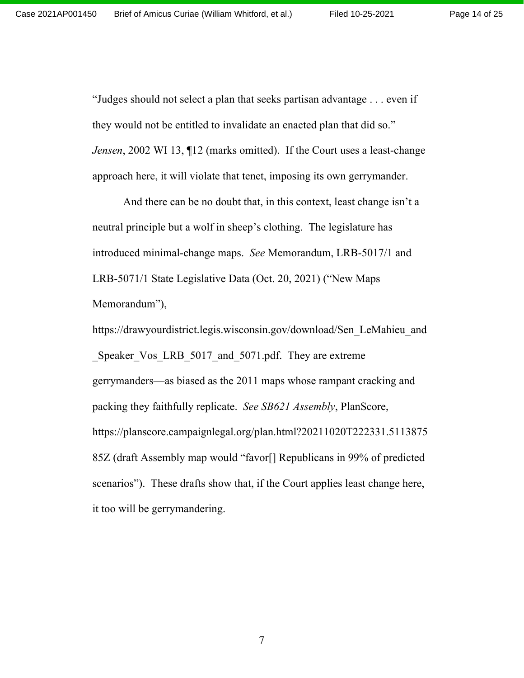Page 14 of 25

"Judges should not select a plan that seeks partisan advantage . . . even if they would not be entitled to invalidate an enacted plan that did so." *Jensen*, 2002 WI 13, 12 (marks omitted). If the Court uses a least-change approach here, it will violate that tenet, imposing its own gerrymander.

And there can be no doubt that, in this context, least change isn't a neutral principle but a wolf in sheep's clothing. The legislature has introduced minimal-change maps. *See* Memorandum, LRB-5017/1 and LRB-5071/1 State Legislative Data (Oct. 20, 2021) ("New Maps Memorandum"),

https://drawyourdistrict.legis.wisconsin.gov/download/Sen\_LeMahieu\_and Speaker Vos LRB 5017 and 5071.pdf. They are extreme gerrymanders—as biased as the 2011 maps whose rampant cracking and packing they faithfully replicate. *See SB621 Assembly*, PlanScore, https://planscore.campaignlegal.org/plan.html?20211020T222331.5113875 85Z (draft Assembly map would "favor[] Republicans in 99% of predicted scenarios"). These drafts show that, if the Court applies least change here, it too will be gerrymandering.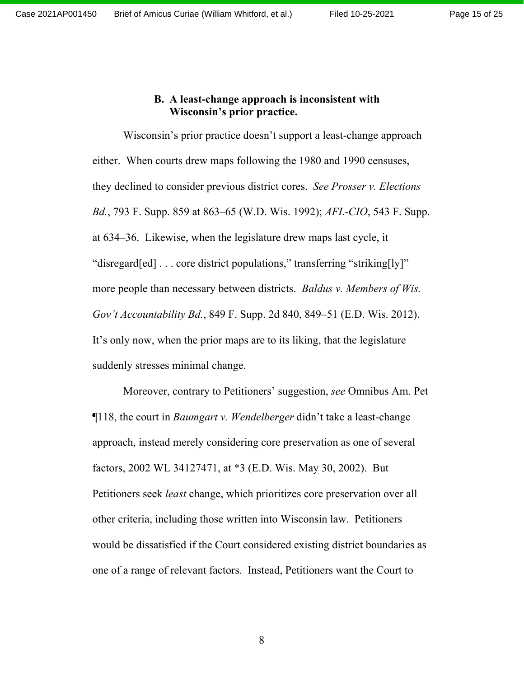#### **B. A least-change approach is inconsistent with Wisconsin's prior practice.**

Wisconsin's prior practice doesn't support a least-change approach either. When courts drew maps following the 1980 and 1990 censuses, they declined to consider previous district cores. *See Prosser v. Elections Bd.*, 793 F. Supp. 859 at 863–65 (W.D. Wis. 1992); *AFL-CIO*, 543 F. Supp. at 634–36. Likewise, when the legislature drew maps last cycle, it "disregard[ed] . . . core district populations," transferring "striking[ly]" more people than necessary between districts. *Baldus v. Members of Wis. Gov't Accountability Bd.*, 849 F. Supp. 2d 840, 849–51 (E.D. Wis. 2012). It's only now, when the prior maps are to its liking, that the legislature suddenly stresses minimal change.

Moreover, contrary to Petitioners' suggestion, *see* Omnibus Am. Pet ¶118, the court in *Baumgart v. Wendelberger* didn't take a least-change approach, instead merely considering core preservation as one of several factors, 2002 WL 34127471, at \*3 (E.D. Wis. May 30, 2002). But Petitioners seek *least* change, which prioritizes core preservation over all other criteria, including those written into Wisconsin law. Petitioners would be dissatisfied if the Court considered existing district boundaries as one of a range of relevant factors. Instead, Petitioners want the Court to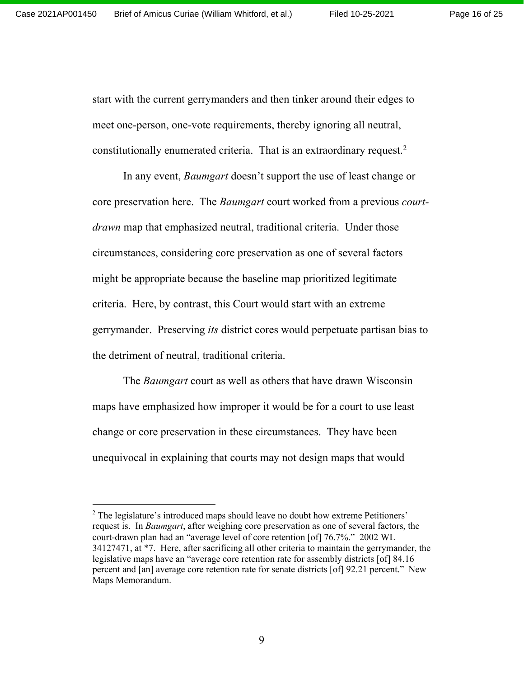Page 16 of 25

start with the current gerrymanders and then tinker around their edges to meet one-person, one-vote requirements, thereby ignoring all neutral, constitutionally enumerated criteria. That is an extraordinary request.<sup>2</sup>

In any event, *Baumgart* doesn't support the use of least change or core preservation here. The *Baumgart* court worked from a previous *courtdrawn* map that emphasized neutral, traditional criteria. Under those circumstances, considering core preservation as one of several factors might be appropriate because the baseline map prioritized legitimate criteria. Here, by contrast, this Court would start with an extreme gerrymander. Preserving *its* district cores would perpetuate partisan bias to the detriment of neutral, traditional criteria.

The *Baumgart* court as well as others that have drawn Wisconsin maps have emphasized how improper it would be for a court to use least change or core preservation in these circumstances. They have been unequivocal in explaining that courts may not design maps that would

 $2$  The legislature's introduced maps should leave no doubt how extreme Petitioners' request is. In *Baumgart*, after weighing core preservation as one of several factors, the court-drawn plan had an "average level of core retention [of] 76.7%." 2002 WL 34127471, at \*7. Here, after sacrificing all other criteria to maintain the gerrymander, the legislative maps have an "average core retention rate for assembly districts [of] 84.16 percent and [an] average core retention rate for senate districts [of] 92.21 percent." New Maps Memorandum.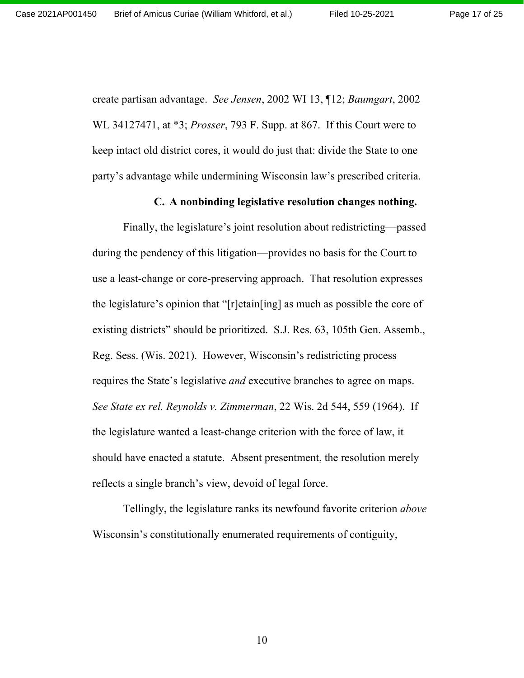create partisan advantage. *See Jensen*, 2002 WI 13, ¶12; *Baumgart*, 2002 WL 34127471, at \*3; *Prosser*, 793 F. Supp. at 867. If this Court were to keep intact old district cores, it would do just that: divide the State to one party's advantage while undermining Wisconsin law's prescribed criteria.

#### **C. A nonbinding legislative resolution changes nothing.**

Finally, the legislature's joint resolution about redistricting—passed during the pendency of this litigation—provides no basis for the Court to use a least-change or core-preserving approach. That resolution expresses the legislature's opinion that "[r]etain[ing] as much as possible the core of existing districts" should be prioritized. S.J. Res. 63, 105th Gen. Assemb., Reg. Sess. (Wis. 2021). However, Wisconsin's redistricting process requires the State's legislative *and* executive branches to agree on maps. *See State ex rel. Reynolds v. Zimmerman*, 22 Wis. 2d 544, 559 (1964). If the legislature wanted a least-change criterion with the force of law, it should have enacted a statute. Absent presentment, the resolution merely reflects a single branch's view, devoid of legal force.

Tellingly, the legislature ranks its newfound favorite criterion *above*  Wisconsin's constitutionally enumerated requirements of contiguity,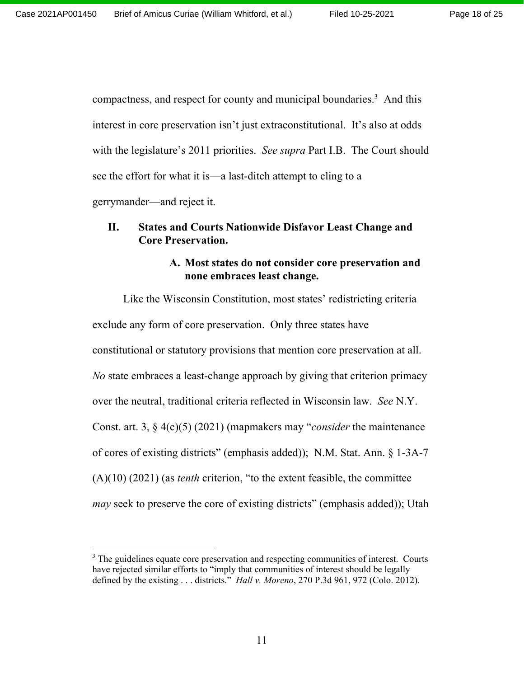compactness, and respect for county and municipal boundaries.<sup>3</sup> And this interest in core preservation isn't just extraconstitutional. It's also at odds with the legislature's 2011 priorities. *See supra* Part I.B. The Court should see the effort for what it is—a last-ditch attempt to cling to a gerrymander—and reject it.

## **II. States and Courts Nationwide Disfavor Least Change and Core Preservation.**

## **A. Most states do not consider core preservation and none embraces least change.**

Like the Wisconsin Constitution, most states' redistricting criteria exclude any form of core preservation. Only three states have constitutional or statutory provisions that mention core preservation at all. *No* state embraces a least-change approach by giving that criterion primacy over the neutral, traditional criteria reflected in Wisconsin law. *See* N.Y. Const. art. 3, § 4(c)(5) (2021) (mapmakers may "*consider* the maintenance of cores of existing districts" (emphasis added)); N.M. Stat. Ann. § 1-3A-7 (A)(10) (2021) (as *tenth* criterion, "to the extent feasible, the committee *may* seek to preserve the core of existing districts" (emphasis added)); Utah

<sup>&</sup>lt;sup>3</sup> The guidelines equate core preservation and respecting communities of interest. Courts have rejected similar efforts to "imply that communities of interest should be legally defined by the existing . . . districts." *Hall v. Moreno*, 270 P.3d 961, 972 (Colo. 2012).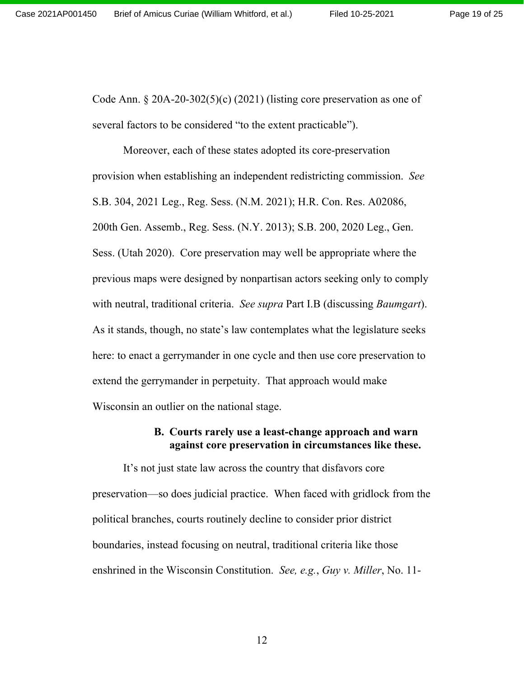Page 19 of 25

Code Ann.  $\S 20A-20-302(5)(c)$  (2021) (listing core preservation as one of several factors to be considered "to the extent practicable").

Moreover, each of these states adopted its core-preservation provision when establishing an independent redistricting commission. *See*  S.B. 304, 2021 Leg., Reg. Sess. (N.M. 2021); H.R. Con. Res. A02086, 200th Gen. Assemb., Reg. Sess. (N.Y. 2013); S.B. 200, 2020 Leg., Gen. Sess. (Utah 2020). Core preservation may well be appropriate where the previous maps were designed by nonpartisan actors seeking only to comply with neutral, traditional criteria. *See supra* Part I.B (discussing *Baumgart*). As it stands, though, no state's law contemplates what the legislature seeks here: to enact a gerrymander in one cycle and then use core preservation to extend the gerrymander in perpetuity. That approach would make Wisconsin an outlier on the national stage.

#### **B. Courts rarely use a least-change approach and warn against core preservation in circumstances like these.**

It's not just state law across the country that disfavors core preservation—so does judicial practice. When faced with gridlock from the political branches, courts routinely decline to consider prior district boundaries, instead focusing on neutral, traditional criteria like those enshrined in the Wisconsin Constitution. *See, e.g.*, *Guy v. Miller*, No. 11-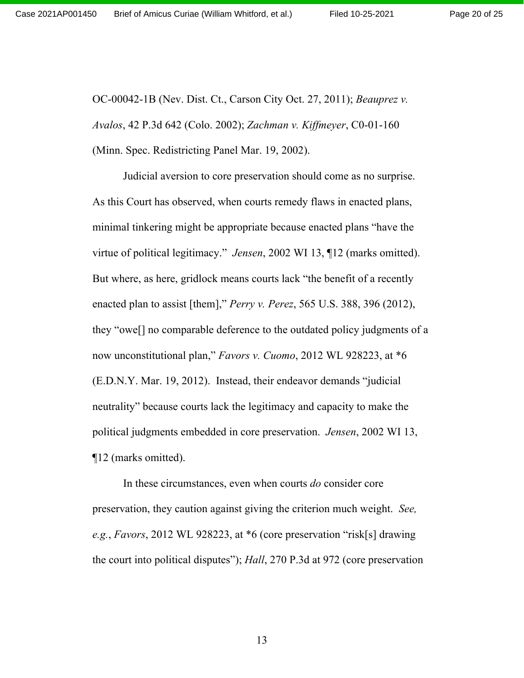OC-00042-1B (Nev. Dist. Ct., Carson City Oct. 27, 2011); *Beauprez v. Avalos*, 42 P.3d 642 (Colo. 2002); *Zachman v. Kiffmeyer*, C0-01-160 (Minn. Spec. Redistricting Panel Mar. 19, 2002).

Judicial aversion to core preservation should come as no surprise. As this Court has observed, when courts remedy flaws in enacted plans, minimal tinkering might be appropriate because enacted plans "have the virtue of political legitimacy." *Jensen*, 2002 WI 13, ¶12 (marks omitted). But where, as here, gridlock means courts lack "the benefit of a recently enacted plan to assist [them]," *Perry v. Perez*, 565 U.S. 388, 396 (2012), they "owe[] no comparable deference to the outdated policy judgments of a now unconstitutional plan," *Favors v. Cuomo*, 2012 WL 928223, at \*6 (E.D.N.Y. Mar. 19, 2012). Instead, their endeavor demands "judicial neutrality" because courts lack the legitimacy and capacity to make the political judgments embedded in core preservation. *Jensen*, 2002 WI 13, ¶12 (marks omitted).

In these circumstances, even when courts *do* consider core preservation, they caution against giving the criterion much weight. *See, e.g.*, *Favors*, 2012 WL 928223, at \*6 (core preservation "risk[s] drawing the court into political disputes"); *Hall*, 270 P.3d at 972 (core preservation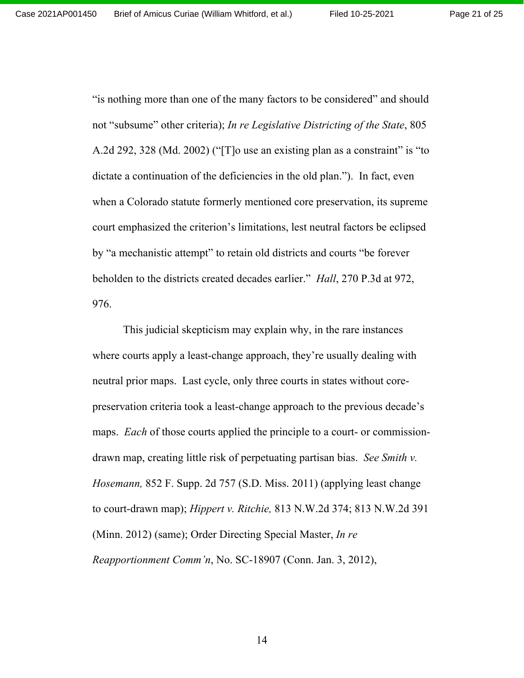Page 21 of 25

"is nothing more than one of the many factors to be considered" and should not "subsume" other criteria); *In re Legislative Districting of the State*, 805 A.2d 292, 328 (Md. 2002) ("[T]o use an existing plan as a constraint" is "to dictate a continuation of the deficiencies in the old plan."). In fact, even when a Colorado statute formerly mentioned core preservation, its supreme court emphasized the criterion's limitations, lest neutral factors be eclipsed by "a mechanistic attempt" to retain old districts and courts "be forever beholden to the districts created decades earlier." *Hall*, 270 P.3d at 972, 976.

This judicial skepticism may explain why, in the rare instances where courts apply a least-change approach, they're usually dealing with neutral prior maps. Last cycle, only three courts in states without corepreservation criteria took a least-change approach to the previous decade's maps. *Each* of those courts applied the principle to a court- or commissiondrawn map, creating little risk of perpetuating partisan bias. *See Smith v. Hosemann,* 852 F. Supp. 2d 757 (S.D. Miss. 2011) (applying least change to court-drawn map); *Hippert v. Ritchie,* 813 N.W.2d 374; 813 N.W.2d 391 (Minn. 2012) (same); Order Directing Special Master, *In re Reapportionment Comm'n*, No. SC-18907 (Conn. Jan. 3, 2012),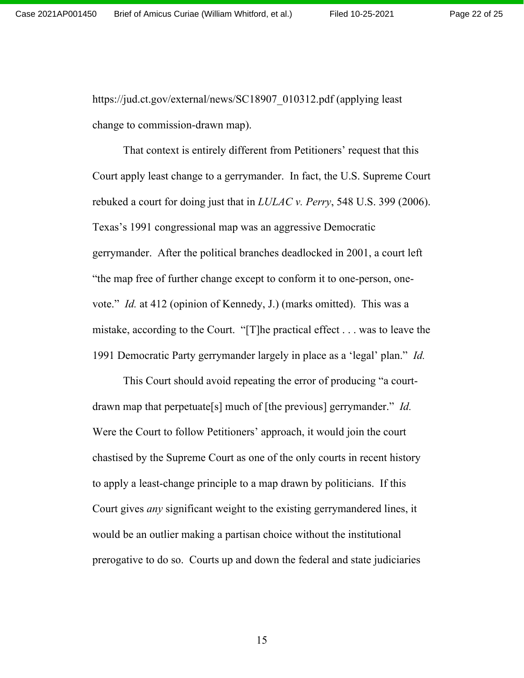https://jud.ct.gov/external/news/SC18907\_010312.pdf (applying least) change to commission-drawn map).

That context is entirely different from Petitioners' request that this Court apply least change to a gerrymander. In fact, the U.S. Supreme Court rebuked a court for doing just that in *LULAC v. Perry*, 548 U.S. 399 (2006). Texas's 1991 congressional map was an aggressive Democratic gerrymander. After the political branches deadlocked in 2001, a court left "the map free of further change except to conform it to one-person, onevote." *Id.* at 412 (opinion of Kennedy, J.) (marks omitted). This was a mistake, according to the Court. "[T]he practical effect . . . was to leave the 1991 Democratic Party gerrymander largely in place as a 'legal' plan." *Id.*

This Court should avoid repeating the error of producing "a courtdrawn map that perpetuate[s] much of [the previous] gerrymander." *Id.* Were the Court to follow Petitioners' approach, it would join the court chastised by the Supreme Court as one of the only courts in recent history to apply a least-change principle to a map drawn by politicians. If this Court gives *any* significant weight to the existing gerrymandered lines, it would be an outlier making a partisan choice without the institutional prerogative to do so. Courts up and down the federal and state judiciaries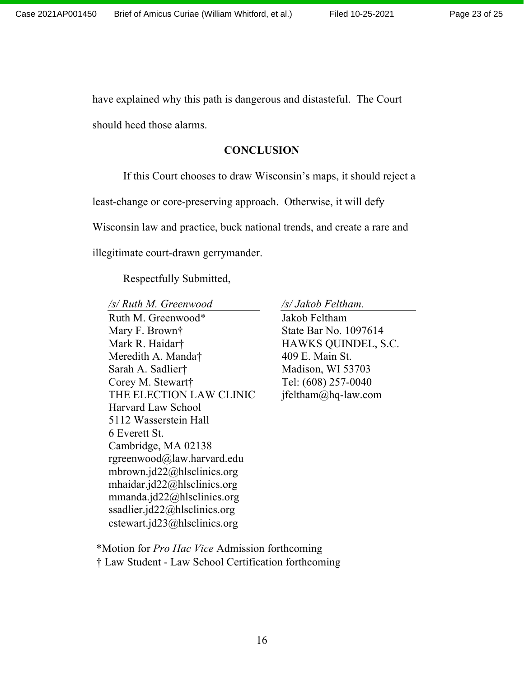have explained why this path is dangerous and distasteful. The Court should heed those alarms.

#### **CONCLUSION**

If this Court chooses to draw Wisconsin's maps, it should reject a

least-change or core-preserving approach. Otherwise, it will defy

Wisconsin law and practice, buck national trends, and create a rare and

illegitimate court-drawn gerrymander.

Respectfully Submitted,

*/s/ Ruth M. Greenwood /s/ Jakob Feltham.* Ruth M. Greenwood\* Mary F. Brown† Mark R. Haidar† Meredith A. Manda† Sarah A. Sadlier† Corey M. Stewart† THE ELECTION LAW CLINIC Harvard Law School 5112 Wasserstein Hall 6 Everett St. Cambridge, MA 02138 rgreenwood@law.harvard.edu mbrown.jd22@hlsclinics.org mhaidar.jd22@hlsclinics.org mmanda.jd22@hlsclinics.org ssadlier.jd22@hlsclinics.org cstewart.jd23@hlsclinics.org

Jakob Feltham State Bar No. 1097614 HAWKS QUINDEL, S.C. 409 E. Main St. Madison, WI 53703 Tel: (608) 257-0040 jfeltham@hq-law.com

\*Motion for *Pro Hac Vice* Admission forthcoming † Law Student - Law School Certification forthcoming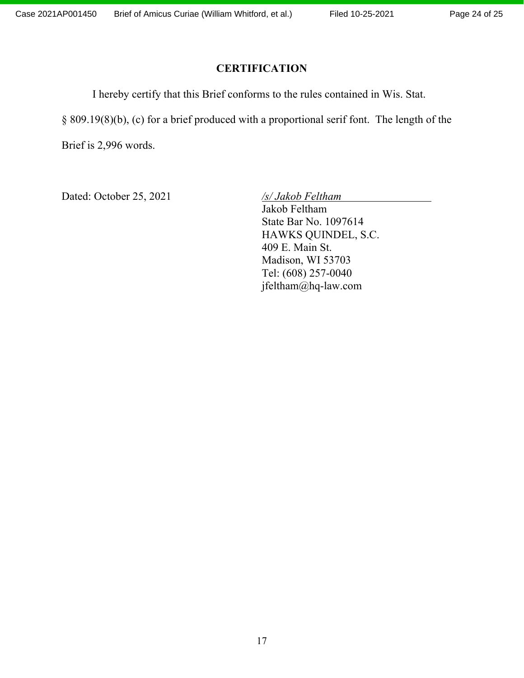## **CERTIFICATION**

I hereby certify that this Brief conforms to the rules contained in Wis. Stat.

§ 809.19(8)(b), (c) for a brief produced with a proportional serif font. The length of the

Brief is 2,996 words.

Dated: October 25, 2021 */s/ Jakob Feltham*

Jakob Feltham State Bar No. 1097614 HAWKS QUINDEL, S.C. 409 E. Main St. Madison, WI 53703 Tel: (608) 257-0040 jfeltham@hq-law.com